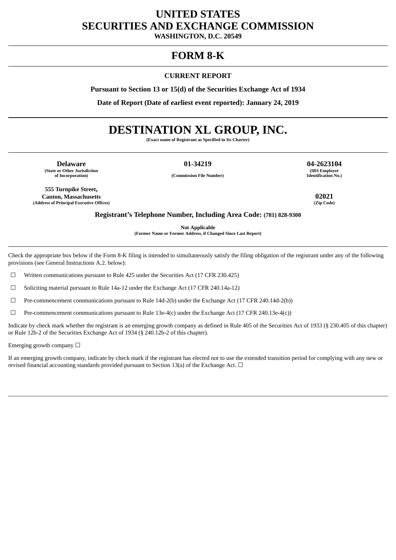# **UNITED STATES SECURITIES AND EXCHANGE COMMISSION**

**WASHINGTON, D.C. 20549**

# **FORM 8-K**

## **CURRENT REPORT**

**Pursuant to Section 13 or 15(d) of the Securities Exchange Act of 1934**

**Date of Report (Date of earliest event reported): January 24, 2019**

# **DESTINATION XL GROUP, INC.**

**(Exact name of Registrant as Specified in Its Charter)**

**Delaware 01-34219 04-2623104 (State or Other Jurisdiction**

**of Incorporation) (Commission File Number)**

**555 Turnpike Street, Canton, Massachusetts 02021 (Address of Principal Executive Offices)** 

**(IRS Employer Identification No.)**

**Registrant's Telephone Number, Including Area Code: (781) 828-9300**

**Not Applicable (Former Name or Former Address, if Changed Since Last Report)**

Check the appropriate box below if the Form 8-K filing is intended to simultaneously satisfy the filing obligation of the registrant under any of the following provisions (see General Instructions A.2. below):

 $\Box$  Written communications pursuant to Rule 425 under the Securities Act (17 CFR 230.425)

☐ Soliciting material pursuant to Rule 14a-12 under the Exchange Act (17 CFR 240.14a-12)

☐ Pre-commencement communications pursuant to Rule 14d-2(b) under the Exchange Act (17 CFR 240.14d-2(b))

 $\Box$  Pre-commencement communications pursuant to Rule 13e-4(c) under the Exchange Act (17 CFR 240.13e-4(c))

Indicate by check mark whether the registrant is an emerging growth company as defined in Rule 405 of the Securities Act of 1933 (§ 230.405 of this chapter) or Rule 12b-2 of the Securities Exchange Act of 1934 (§ 240.12b-2 of this chapter).

Emerging growth company  $\Box$ 

If an emerging growth company, indicate by check mark if the registrant has elected not to use the extended transition period for complying with any new or revised financial accounting standards provided pursuant to Section 13(a) of the Exchange Act.  $\Box$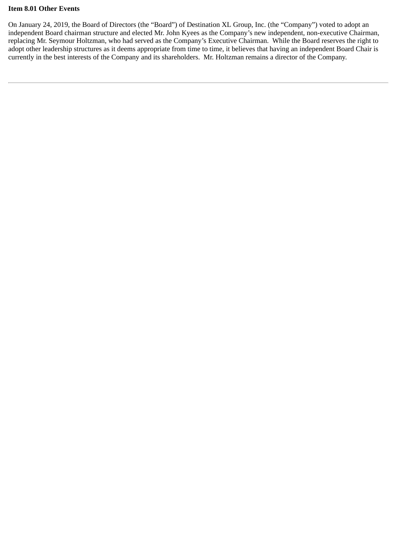## **Item 8.01 Other Events**

On January 24, 2019, the Board of Directors (the "Board") of Destination XL Group, Inc. (the "Company") voted to adopt an independent Board chairman structure and elected Mr. John Kyees as the Company's new independent, non-executive Chairman, replacing Mr. Seymour Holtzman, who had served as the Company's Executive Chairman. While the Board reserves the right to adopt other leadership structures as it deems appropriate from time to time, it believes that having an independent Board Chair is currently in the best interests of the Company and its shareholders. Mr. Holtzman remains a director of the Company.